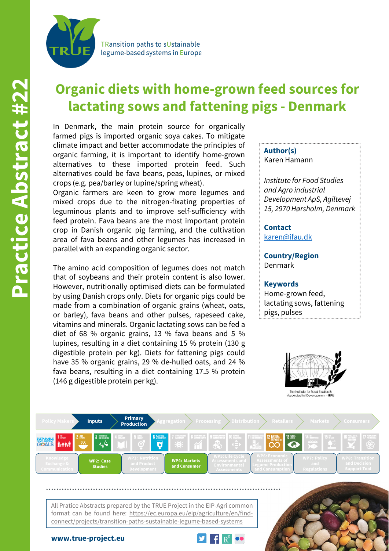TRansition paths to sUstainable legume-based systems in Europe

# **Organic diets with home-grown feed sources for lactating sows and fattening pigs - Denmark**

In Denmark, the main protein source for organically farmed pigs is imported organic soya cakes. To mitigate climate impact and better accommodate the principles of organic farming, it is important to identify home-grown alternatives to these imported protein feed. Such alternatives could be fava beans, peas, lupines, or mixed crops (e.g. pea/barley or lupine/spring wheat).

Organic farmers are keen to grow more legumes and mixed crops due to the nitrogen-fixating properties of leguminous plants and to improve self-sufficiency with feed protein. Fava beans are the most important protein crop in Danish organic pig farming, and the cultivation area of fava beans and other legumes has increased in parallel with an expanding organic sector.

The amino acid composition of legumes does not match that of soybeans and their protein content is also lower. However, nutritionally optimised diets can be formulated by using Danish crops only. Diets for organic pigs could be made from a combination of organic grains (wheat, oats, or barley), fava beans and other pulses, rapeseed cake, vitamins and minerals. Organic lactating sows can be fed a diet of 68 % organic grains, 13 % fava beans and 5 % lupines, resulting in a diet containing 15 % protein (130 g digestible protein per kg). Diets for fattening pigs could have 35 % organic grains, 29 % de-hulled oats, and 24 % fava beans, resulting in a diet containing 17.5 % protein (146 g digestible protein per kg).

### **Author(s)** Karen Hamann

*Institute for Food Studies and Agro industrial Development ApS, Agiltevej 15, 2970 Hørsholm, Denmark*

**Contact** [karen@ifau.dk](mailto:karen@ifau.dk)

**Country/Region** Denmark

#### **Keywords**

Home-grown feed, lactating sows, fattening pigs, pulses





All Pratice Abstracts prepared by the TRUE Project in the EIP-Agri common format can be found here: https://ec.europa.eu/eip/agriculture/en/findconnect/projects/transition-paths-sustainable-legume-based-systems

**www.true-project.eu**